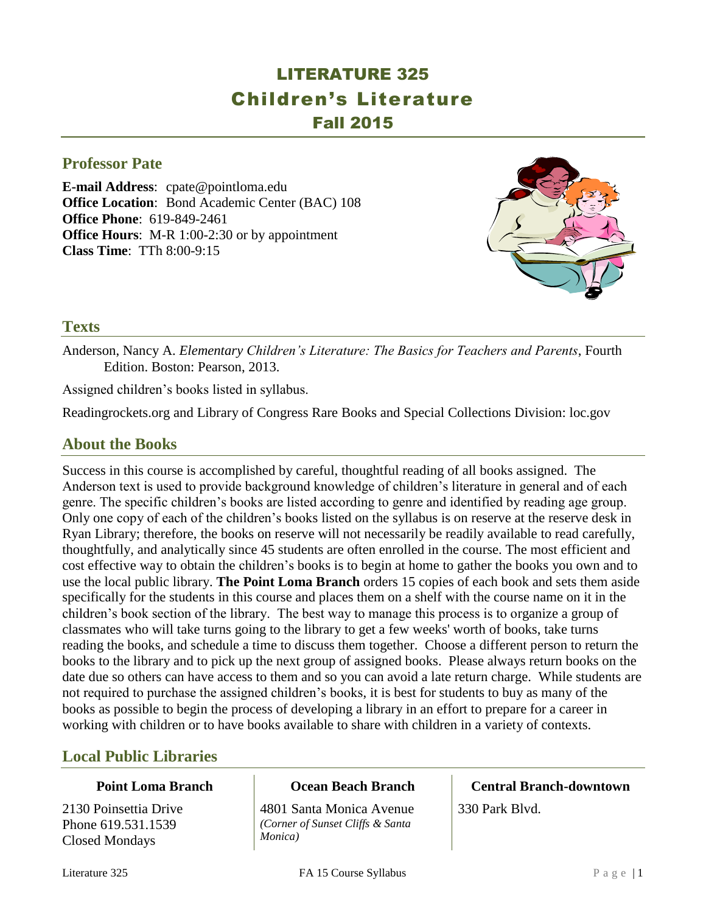# LITERATURE 325 Children's Literature Fall 2015

### **Professor Pate**

**E-mail Address**: cpate@pointloma.edu **Office Location**: Bond Academic Center (BAC) 108 **Office Phone**: 619-849-2461 **Office Hours**: M-R 1:00-2:30 or by appointment **Class Time**: TTh 8:00-9:15



### **Texts**

Anderson, Nancy A. *Elementary Children's Literature: The Basics for Teachers and Parents*, Fourth Edition. Boston: Pearson, 2013.

Assigned children's books listed in syllabus.

Readingrockets.org and Library of Congress Rare Books and Special Collections Division: loc.gov

# **About the Books**

Success in this course is accomplished by careful, thoughtful reading of all books assigned. The Anderson text is used to provide background knowledge of children's literature in general and of each genre. The specific children's books are listed according to genre and identified by reading age group. Only one copy of each of the children's books listed on the syllabus is on reserve at the reserve desk in Ryan Library; therefore, the books on reserve will not necessarily be readily available to read carefully, thoughtfully, and analytically since 45 students are often enrolled in the course. The most efficient and cost effective way to obtain the children's books is to begin at home to gather the books you own and to use the local public library. **The Point Loma Branch** orders 15 copies of each book and sets them aside specifically for the students in this course and places them on a shelf with the course name on it in the children's book section of the library. The best way to manage this process is to organize a group of classmates who will take turns going to the library to get a few weeks' worth of books, take turns reading the books, and schedule a time to discuss them together. Choose a different person to return the books to the library and to pick up the next group of assigned books. Please always return books on the date due so others can have access to them and so you can avoid a late return charge. While students are not required to purchase the assigned children's books, it is best for students to buy as many of the books as possible to begin the process of developing a library in an effort to prepare for a career in working with children or to have books available to share with children in a variety of contexts.

# **Local Public Libraries**

### **Point Loma Branch**

2130 Poinsettia Drive Phone 619.531.1539 Closed Mondays

### **Ocean Beach Branch**

4801 Santa Monica Avenue *(Corner of Sunset Cliffs & Santa Monica)*

# **Central Branch-downtown**

330 Park Blvd.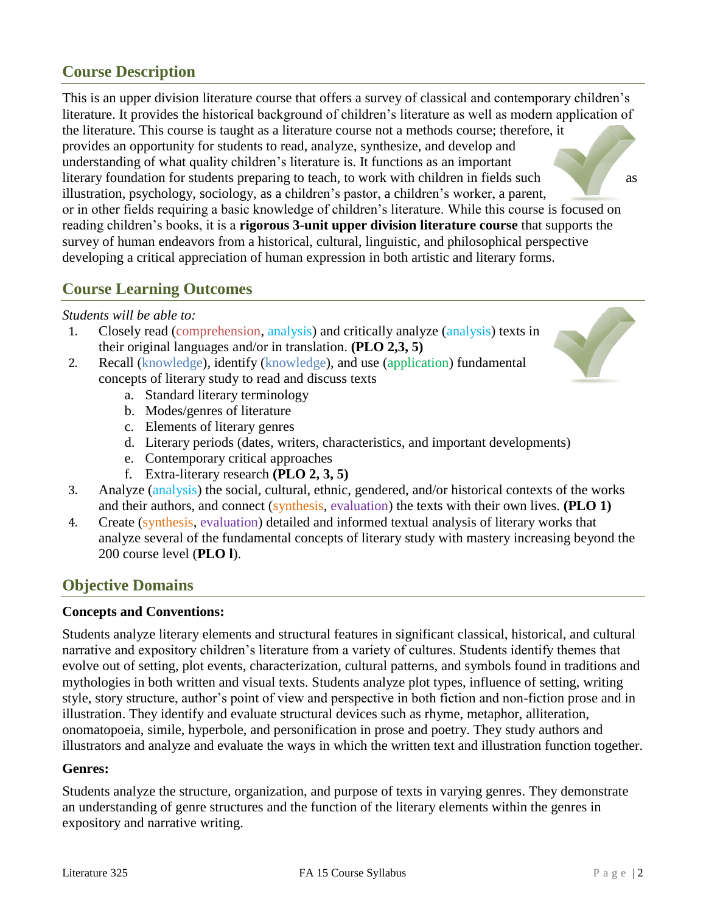# **Course Description**

This is an upper division literature course that offers a survey of classical and contemporary children's literature. It provides the historical background of children's literature as well as modern application of the literature. This course is taught as a literature course not a methods course; therefore, it provides an opportunity for students to read, analyze, synthesize, and develop and understanding of what quality children's literature is. It functions as an important literary foundation for students preparing to teach, to work with children in fields such as illustration, psychology, sociology, as a children's pastor, a children's worker, a parent, or in other fields requiring a basic knowledge of children's literature. While this course is focused on reading children's books, it is a **rigorous 3-unit upper division literature course** that supports the survey of human endeavors from a historical, cultural, linguistic, and philosophical perspective developing a critical appreciation of human expression in both artistic and literary forms.

### **Course Learning Outcomes**

#### *Students will be able to:*

- 1. Closely read (comprehension, analysis) and critically analyze (analysis) texts in their original languages and/or in translation. **(PLO 2,3, 5)**
- 2. Recall (knowledge), identify (knowledge), and use (application) fundamental concepts of literary study to read and discuss texts
	- a. Standard literary terminology
	- b. Modes/genres of literature
	- c. Elements of literary genres
	- d. Literary periods (dates, writers, characteristics, and important developments)
	- e. Contemporary critical approaches
	- f. Extra-literary research **(PLO 2, 3, 5)**
- 3. Analyze (analysis) the social, cultural, ethnic, gendered, and/or historical contexts of the works and their authors, and connect (synthesis, evaluation) the texts with their own lives. **(PLO 1)**
- 4. Create (synthesis, evaluation) detailed and informed textual analysis of literary works that analyze several of the fundamental concepts of literary study with mastery increasing beyond the 200 course level (**PLO l**).

# **Objective Domains**

### **Concepts and Conventions:**

Students analyze literary elements and structural features in significant classical, historical, and cultural narrative and expository children's literature from a variety of cultures. Students identify themes that evolve out of setting, plot events, characterization, cultural patterns, and symbols found in traditions and mythologies in both written and visual texts. Students analyze plot types, influence of setting, writing style, story structure, author's point of view and perspective in both fiction and non-fiction prose and in illustration. They identify and evaluate structural devices such as rhyme, metaphor, alliteration, onomatopoeia, simile, hyperbole, and personification in prose and poetry. They study authors and illustrators and analyze and evaluate the ways in which the written text and illustration function together.

#### **Genres:**

Students analyze the structure, organization, and purpose of texts in varying genres. They demonstrate an understanding of genre structures and the function of the literary elements within the genres in expository and narrative writing.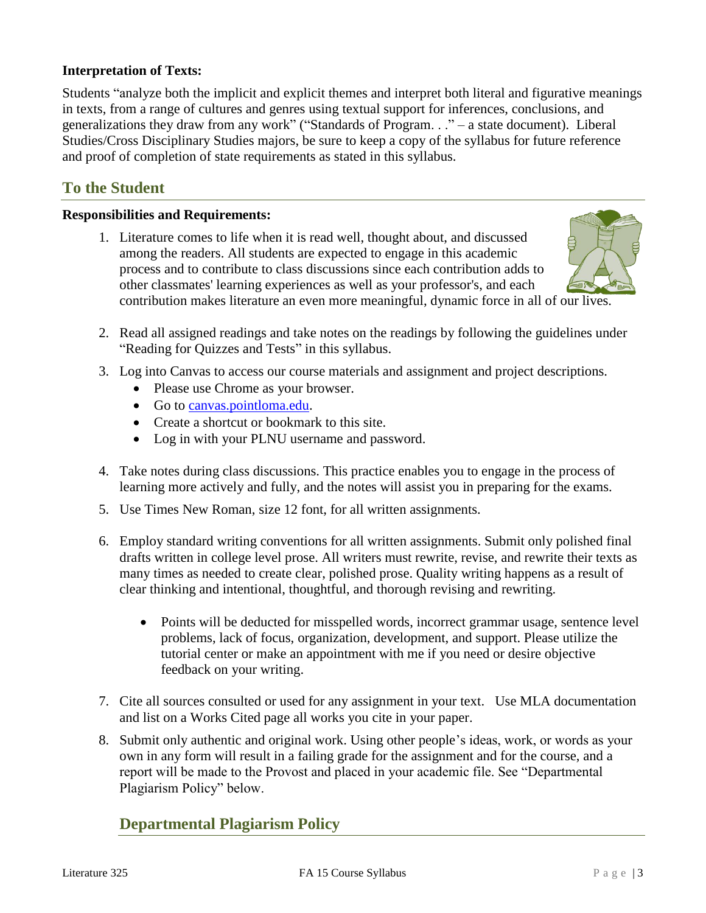### **Interpretation of Texts:**

Students "analyze both the implicit and explicit themes and interpret both literal and figurative meanings in texts, from a range of cultures and genres using textual support for inferences, conclusions, and generalizations they draw from any work" ("Standards of Program. . ." – a state document). Liberal Studies/Cross Disciplinary Studies majors, be sure to keep a copy of the syllabus for future reference and proof of completion of state requirements as stated in this syllabus.

# **To the Student**

#### **Responsibilities and Requirements:**

1. Literature comes to life when it is read well, thought about, and discussed among the readers. All students are expected to engage in this academic process and to contribute to class discussions since each contribution adds to other classmates' learning experiences as well as your professor's, and each contribution makes literature an even more meaningful, dynamic force in all of our lives.



- 2. Read all assigned readings and take notes on the readings by following the guidelines under "Reading for Quizzes and Tests" in this syllabus.
- 3. Log into Canvas to access our course materials and assignment and project descriptions.
	- Please use Chrome as your browser.
	- Go to [canvas.pointloma.edu.](http://canvas.pointloma.edu/)
	- Create a shortcut or bookmark to this site.
	- Log in with your PLNU username and password.
- 4. Take notes during class discussions. This practice enables you to engage in the process of learning more actively and fully, and the notes will assist you in preparing for the exams.
- 5. Use Times New Roman, size 12 font, for all written assignments.
- 6. Employ standard writing conventions for all written assignments. Submit only polished final drafts written in college level prose. All writers must rewrite, revise, and rewrite their texts as many times as needed to create clear, polished prose. Quality writing happens as a result of clear thinking and intentional, thoughtful, and thorough revising and rewriting.
	- Points will be deducted for misspelled words, incorrect grammar usage, sentence level problems, lack of focus, organization, development, and support. Please utilize the tutorial center or make an appointment with me if you need or desire objective feedback on your writing.
- 7. Cite all sources consulted or used for any assignment in your text. Use MLA documentation and list on a Works Cited page all works you cite in your paper.
- 8. Submit only authentic and original work. Using other people's ideas, work, or words as your own in any form will result in a failing grade for the assignment and for the course, and a report will be made to the Provost and placed in your academic file. See "Departmental Plagiarism Policy" below.

### **Departmental Plagiarism Policy**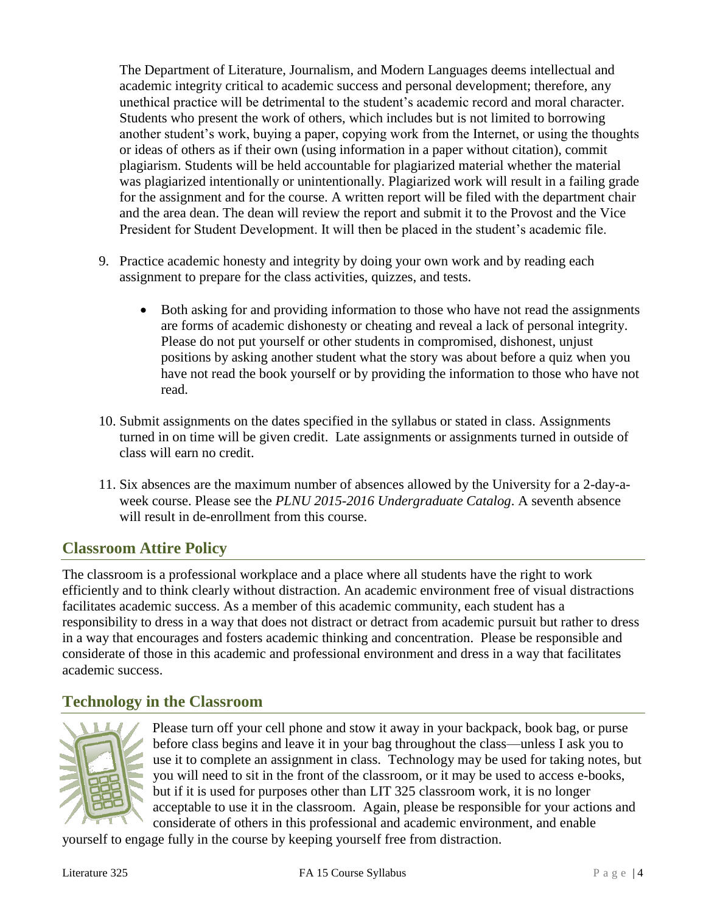The Department of Literature, Journalism, and Modern Languages deems intellectual and academic integrity critical to academic success and personal development; therefore, any unethical practice will be detrimental to the student's academic record and moral character. Students who present the work of others, which includes but is not limited to borrowing another student's work, buying a paper, copying work from the Internet, or using the thoughts or ideas of others as if their own (using information in a paper without citation), commit plagiarism. Students will be held accountable for plagiarized material whether the material was plagiarized intentionally or unintentionally. Plagiarized work will result in a failing grade for the assignment and for the course. A written report will be filed with the department chair and the area dean. The dean will review the report and submit it to the Provost and the Vice President for Student Development. It will then be placed in the student's academic file.

- 9. Practice academic honesty and integrity by doing your own work and by reading each assignment to prepare for the class activities, quizzes, and tests.
	- Both asking for and providing information to those who have not read the assignments are forms of academic dishonesty or cheating and reveal a lack of personal integrity. Please do not put yourself or other students in compromised, dishonest, unjust positions by asking another student what the story was about before a quiz when you have not read the book yourself or by providing the information to those who have not read.
- 10. Submit assignments on the dates specified in the syllabus or stated in class. Assignments turned in on time will be given credit. Late assignments or assignments turned in outside of class will earn no credit.
- 11. Six absences are the maximum number of absences allowed by the University for a 2-day-aweek course. Please see the *PLNU 2015-2016 Undergraduate Catalog*. A seventh absence will result in de-enrollment from this course.

# **Classroom Attire Policy**

The classroom is a professional workplace and a place where all students have the right to work efficiently and to think clearly without distraction. An academic environment free of visual distractions facilitates academic success. As a member of this academic community, each student has a responsibility to dress in a way that does not distract or detract from academic pursuit but rather to dress in a way that encourages and fosters academic thinking and concentration. Please be responsible and considerate of those in this academic and professional environment and dress in a way that facilitates academic success.

# **Technology in the Classroom**



Please turn off your cell phone and stow it away in your backpack, book bag, or purse before class begins and leave it in your bag throughout the class—unless I ask you to use it to complete an assignment in class. Technology may be used for taking notes, but you will need to sit in the front of the classroom, or it may be used to access e-books, but if it is used for purposes other than LIT 325 classroom work, it is no longer acceptable to use it in the classroom. Again, please be responsible for your actions and considerate of others in this professional and academic environment, and enable

yourself to engage fully in the course by keeping yourself free from distraction.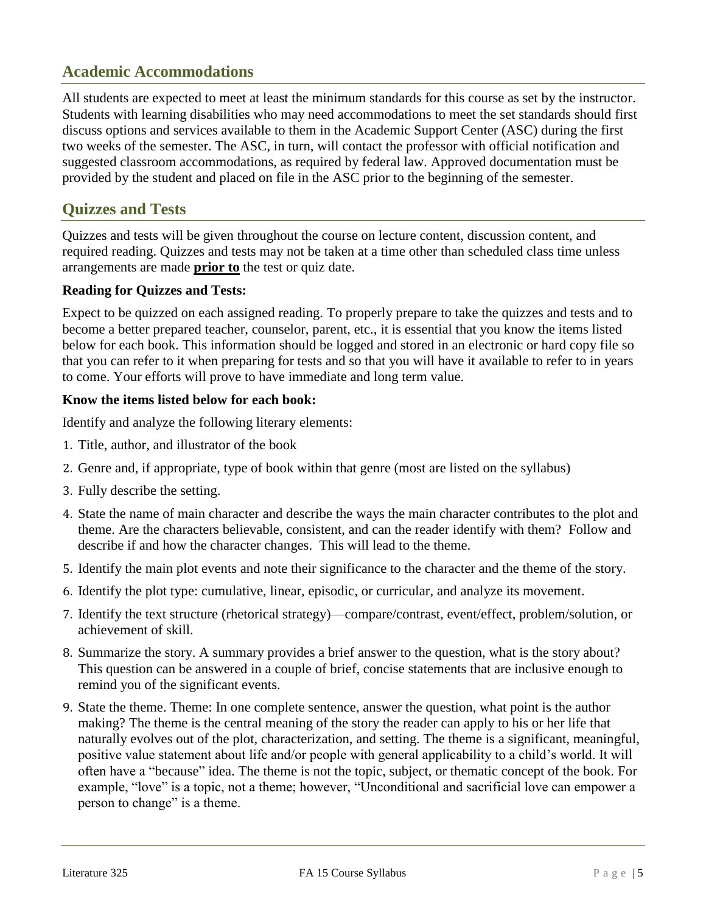# **Academic Accommodations**

All students are expected to meet at least the minimum standards for this course as set by the instructor. Students with learning disabilities who may need accommodations to meet the set standards should first discuss options and services available to them in the Academic Support Center (ASC) during the first two weeks of the semester. The ASC, in turn, will contact the professor with official notification and suggested classroom accommodations, as required by federal law. Approved documentation must be provided by the student and placed on file in the ASC prior to the beginning of the semester.

# **Quizzes and Tests**

Quizzes and tests will be given throughout the course on lecture content, discussion content, and required reading. Quizzes and tests may not be taken at a time other than scheduled class time unless arrangements are made **prior to** the test or quiz date.

### **Reading for Quizzes and Tests:**

Expect to be quizzed on each assigned reading. To properly prepare to take the quizzes and tests and to become a better prepared teacher, counselor, parent, etc., it is essential that you know the items listed below for each book. This information should be logged and stored in an electronic or hard copy file so that you can refer to it when preparing for tests and so that you will have it available to refer to in years to come. Your efforts will prove to have immediate and long term value.

### **Know the items listed below for each book:**

Identify and analyze the following literary elements:

- 1. Title, author, and illustrator of the book
- 2. Genre and, if appropriate, type of book within that genre (most are listed on the syllabus)
- 3. Fully describe the setting.
- 4. State the name of main character and describe the ways the main character contributes to the plot and theme. Are the characters believable, consistent, and can the reader identify with them? Follow and describe if and how the character changes. This will lead to the theme.
- 5. Identify the main plot events and note their significance to the character and the theme of the story.
- 6. Identify the plot type: cumulative, linear, episodic, or curricular, and analyze its movement.
- 7. Identify the text structure (rhetorical strategy)—compare/contrast, event/effect, problem/solution, or achievement of skill.
- 8. Summarize the story. A summary provides a brief answer to the question, what is the story about? This question can be answered in a couple of brief, concise statements that are inclusive enough to remind you of the significant events.
- 9. State the theme. Theme: In one complete sentence, answer the question, what point is the author making? The theme is the central meaning of the story the reader can apply to his or her life that naturally evolves out of the plot, characterization, and setting. The theme is a significant, meaningful, positive value statement about life and/or people with general applicability to a child's world. It will often have a "because" idea. The theme is not the topic, subject, or thematic concept of the book. For example, "love" is a topic, not a theme; however, "Unconditional and sacrificial love can empower a person to change" is a theme.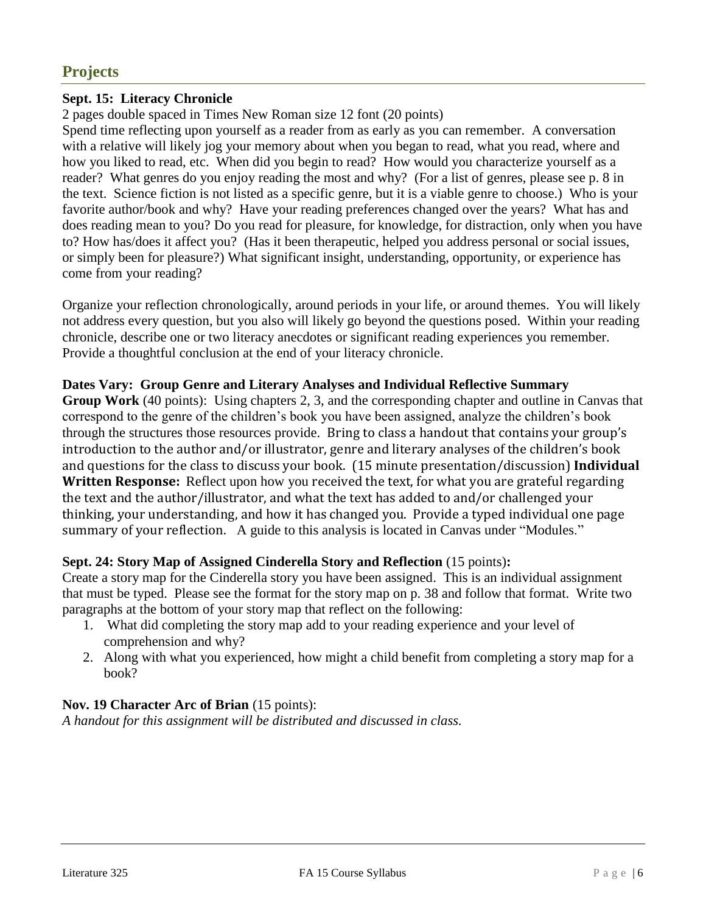# **Projects**

### **Sept. 15: Literacy Chronicle**

2 pages double spaced in Times New Roman size 12 font (20 points)

Spend time reflecting upon yourself as a reader from as early as you can remember. A conversation with a relative will likely jog your memory about when you began to read, what you read, where and how you liked to read, etc. When did you begin to read? How would you characterize yourself as a reader? What genres do you enjoy reading the most and why? (For a list of genres, please see p. 8 in the text. Science fiction is not listed as a specific genre, but it is a viable genre to choose.) Who is your favorite author/book and why? Have your reading preferences changed over the years? What has and does reading mean to you? Do you read for pleasure, for knowledge, for distraction, only when you have to? How has/does it affect you? (Has it been therapeutic, helped you address personal or social issues, or simply been for pleasure?) What significant insight, understanding, opportunity, or experience has come from your reading?

Organize your reflection chronologically, around periods in your life, or around themes. You will likely not address every question, but you also will likely go beyond the questions posed. Within your reading chronicle, describe one or two literacy anecdotes or significant reading experiences you remember. Provide a thoughtful conclusion at the end of your literacy chronicle.

### **Dates Vary: Group Genre and Literary Analyses and Individual Reflective Summary**

**Group Work** (40 points): Using chapters 2, 3, and the corresponding chapter and outline in Canvas that correspond to the genre of the children's book you have been assigned, analyze the children's book through the structures those resources provide. Bring to class a handout that contains your group's introduction to the author and/or illustrator, genre and literary analyses of the children's book and questions for the class to discuss your book. (15 minute presentation/discussion) **Individual Written Response:** Reflect upon how you received the text, for what you are grateful regarding the text and the author/illustrator, and what the text has added to and/or challenged your thinking, your understanding, and how it has changed you. Provide a typed individual one page summary of your reflection. A guide to this analysis is located in Canvas under "Modules."

### **Sept. 24: Story Map of Assigned Cinderella Story and Reflection** (15 points)**:**

Create a story map for the Cinderella story you have been assigned. This is an individual assignment that must be typed. Please see the format for the story map on p. 38 and follow that format. Write two paragraphs at the bottom of your story map that reflect on the following:

- 1. What did completing the story map add to your reading experience and your level of comprehension and why?
- 2. Along with what you experienced, how might a child benefit from completing a story map for a book?

### **Nov. 19 Character Arc of Brian** (15 points):

*A handout for this assignment will be distributed and discussed in class.*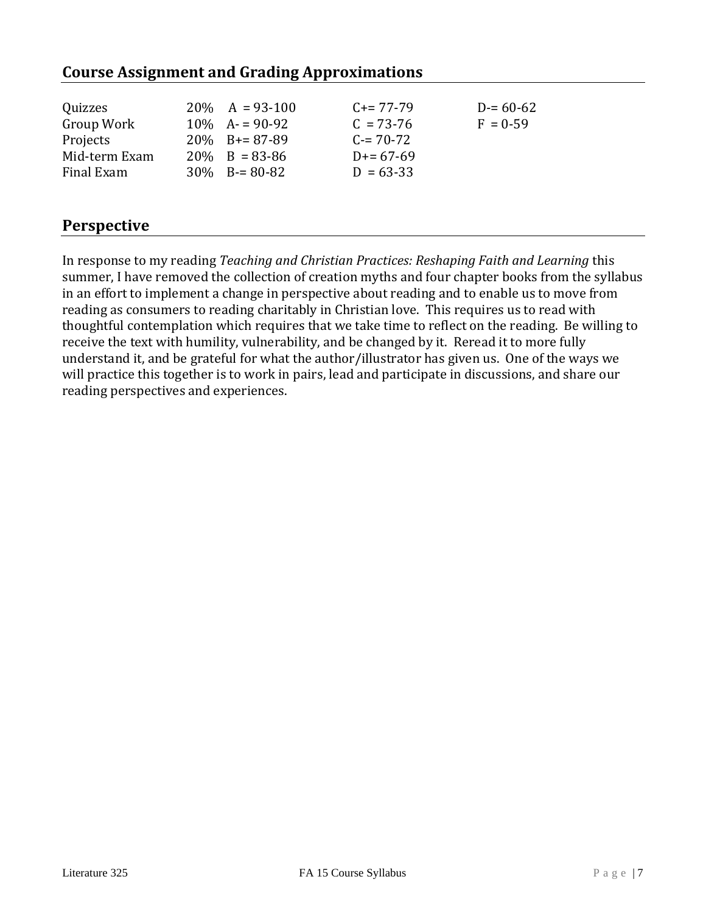# **Course Assignment and Grading Approximations**

# **Perspective**

In response to my reading *Teaching and Christian Practices: Reshaping Faith and Learning* this summer, I have removed the collection of creation myths and four chapter books from the syllabus in an effort to implement a change in perspective about reading and to enable us to move from reading as consumers to reading charitably in Christian love. This requires us to read with thoughtful contemplation which requires that we take time to reflect on the reading. Be willing to receive the text with humility, vulnerability, and be changed by it. Reread it to more fully understand it, and be grateful for what the author/illustrator has given us. One of the ways we will practice this together is to work in pairs, lead and participate in discussions, and share our reading perspectives and experiences.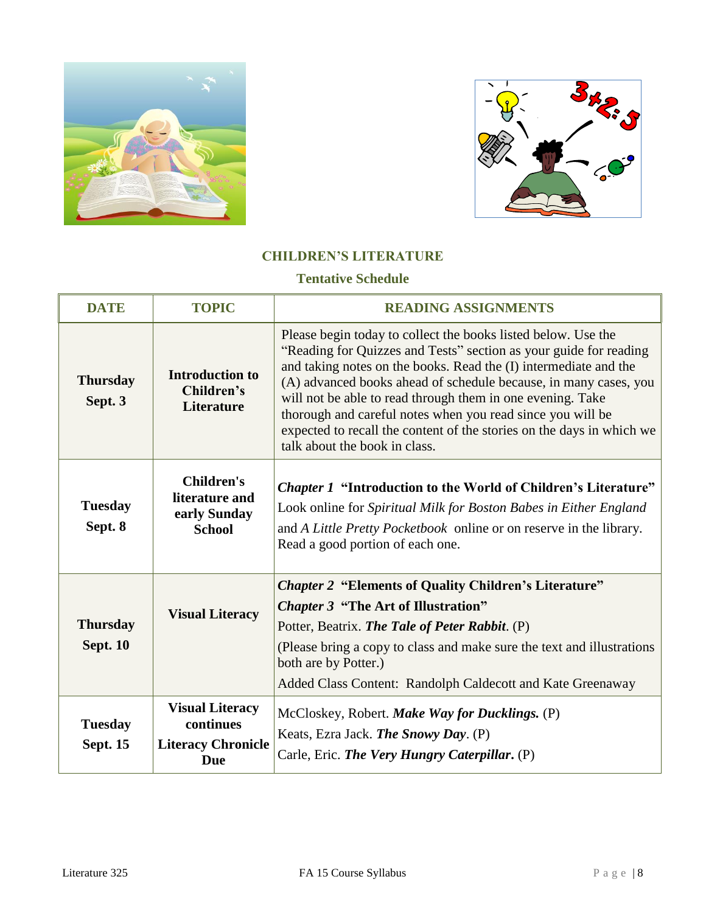



### **CHILDREN'S LITERATURE**

### **Tentative Schedule**

| <b>DATE</b>                        | <b>TOPIC</b>                                                            | <b>READING ASSIGNMENTS</b>                                                                                                                                                                                                                                                                                                                                                                                                                                                                                       |
|------------------------------------|-------------------------------------------------------------------------|------------------------------------------------------------------------------------------------------------------------------------------------------------------------------------------------------------------------------------------------------------------------------------------------------------------------------------------------------------------------------------------------------------------------------------------------------------------------------------------------------------------|
| <b>Thursday</b><br>Sept. 3         | <b>Introduction to</b><br>Children's<br><b>Literature</b>               | Please begin today to collect the books listed below. Use the<br>"Reading for Quizzes and Tests" section as your guide for reading<br>and taking notes on the books. Read the (I) intermediate and the<br>(A) advanced books ahead of schedule because, in many cases, you<br>will not be able to read through them in one evening. Take<br>thorough and careful notes when you read since you will be<br>expected to recall the content of the stories on the days in which we<br>talk about the book in class. |
| <b>Tuesday</b><br>Sept. 8          | <b>Children's</b><br>literature and<br>early Sunday<br><b>School</b>    | <b>Chapter 1 "Introduction to the World of Children's Literature"</b><br>Look online for Spiritual Milk for Boston Babes in Either England<br>and A Little Pretty Pocketbook online or on reserve in the library.<br>Read a good portion of each one.                                                                                                                                                                                                                                                            |
| <b>Thursday</b><br><b>Sept. 10</b> | <b>Visual Literacy</b>                                                  | <b>Chapter 2 "Elements of Quality Children's Literature"</b><br><b>Chapter 3 "The Art of Illustration"</b><br>Potter, Beatrix. The Tale of Peter Rabbit. (P)<br>(Please bring a copy to class and make sure the text and illustrations<br>both are by Potter.)<br>Added Class Content: Randolph Caldecott and Kate Greenaway                                                                                                                                                                                     |
| <b>Tuesday</b><br><b>Sept. 15</b>  | <b>Visual Literacy</b><br>continues<br><b>Literacy Chronicle</b><br>Due | McCloskey, Robert. Make Way for Ducklings. (P)<br>Keats, Ezra Jack. The Snowy Day. (P)<br>Carle, Eric. The Very Hungry Caterpillar. (P)                                                                                                                                                                                                                                                                                                                                                                          |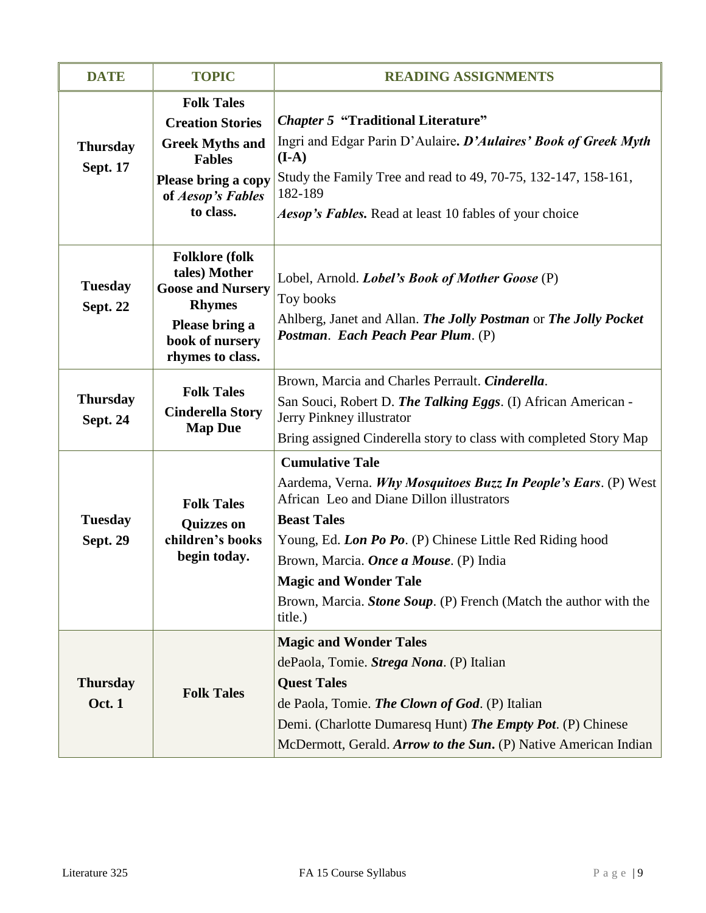| <b>DATE</b>                        | <b>TOPIC</b>                                                                                                                                     | <b>READING ASSIGNMENTS</b>                                                                                                                                                                                                                                                                                                                                                       |
|------------------------------------|--------------------------------------------------------------------------------------------------------------------------------------------------|----------------------------------------------------------------------------------------------------------------------------------------------------------------------------------------------------------------------------------------------------------------------------------------------------------------------------------------------------------------------------------|
| <b>Thursday</b><br><b>Sept. 17</b> | <b>Folk Tales</b><br><b>Creation Stories</b><br><b>Greek Myths and</b><br><b>Fables</b><br>Please bring a copy<br>of Aesop's Fables<br>to class. | <b>Chapter 5 "Traditional Literature"</b><br>Ingri and Edgar Parin D'Aulaire. D'Aulaires' Book of Greek Myth<br>$(I-A)$<br>Study the Family Tree and read to 49, 70-75, 132-147, 158-161,<br>182-189<br><b>Aesop's Fables.</b> Read at least 10 fables of your choice                                                                                                            |
| <b>Tuesday</b><br>Sept. 22         | <b>Folklore</b> (folk<br>tales) Mother<br><b>Goose and Nursery</b><br><b>Rhymes</b><br>Please bring a<br>book of nursery<br>rhymes to class.     | Lobel, Arnold. <i>Lobel's Book of Mother Goose</i> (P)<br>Toy books<br>Ahlberg, Janet and Allan. The Jolly Postman or The Jolly Pocket<br>Postman. Each Peach Pear Plum. (P)                                                                                                                                                                                                     |
| <b>Thursday</b><br><b>Sept. 24</b> | <b>Folk Tales</b><br><b>Cinderella Story</b><br><b>Map Due</b>                                                                                   | Brown, Marcia and Charles Perrault. Cinderella.<br>San Souci, Robert D. The Talking Eggs. (I) African American -<br>Jerry Pinkney illustrator<br>Bring assigned Cinderella story to class with completed Story Map                                                                                                                                                               |
| <b>Tuesday</b><br><b>Sept. 29</b>  | <b>Folk Tales</b><br><b>Quizzes on</b><br>children's books<br>begin today.                                                                       | <b>Cumulative Tale</b><br>Aardema, Verna. Why Mosquitoes Buzz In People's Ears. (P) West<br>African Leo and Diane Dillon illustrators<br><b>Beast Tales</b><br>Young, Ed. Lon Po Po. (P) Chinese Little Red Riding hood<br>Brown, Marcia. Once a Mouse. (P) India<br><b>Magic and Wonder Tale</b><br>Brown, Marcia. Stone Soup. (P) French (Match the author with the<br>title.) |
| <b>Thursday</b><br><b>Oct. 1</b>   | <b>Folk Tales</b>                                                                                                                                | <b>Magic and Wonder Tales</b><br>dePaola, Tomie. Strega Nona. (P) Italian<br><b>Quest Tales</b><br>de Paola, Tomie. The Clown of God. (P) Italian<br>Demi. (Charlotte Dumaresq Hunt) The Empty Pot. (P) Chinese<br>McDermott, Gerald. Arrow to the Sun. (P) Native American Indian                                                                                               |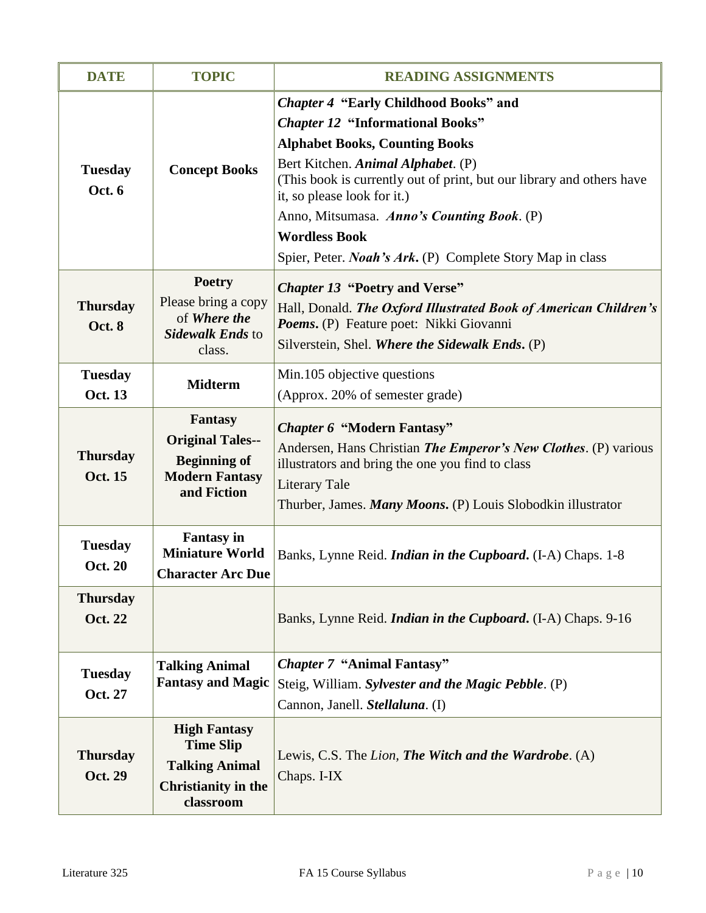| <b>DATE</b>                       | <b>TOPIC</b>                                                                                                | <b>READING ASSIGNMENTS</b>                                                                                                                                                                                                                                                                                                                                                                                                |
|-----------------------------------|-------------------------------------------------------------------------------------------------------------|---------------------------------------------------------------------------------------------------------------------------------------------------------------------------------------------------------------------------------------------------------------------------------------------------------------------------------------------------------------------------------------------------------------------------|
| <b>Tuesday</b><br>Oct. 6          | <b>Concept Books</b>                                                                                        | <b>Chapter 4 "Early Childhood Books" and</b><br><b>Chapter 12 "Informational Books"</b><br><b>Alphabet Books, Counting Books</b><br>Bert Kitchen. Animal Alphabet. (P)<br>(This book is currently out of print, but our library and others have<br>it, so please look for it.)<br>Anno, Mitsumasa. Anno's Counting Book. (P)<br><b>Wordless Book</b><br>Spier, Peter. <i>Noah's Ark</i> . (P) Complete Story Map in class |
| <b>Thursday</b><br><b>Oct. 8</b>  | <b>Poetry</b><br>Please bring a copy<br>of Where the<br><b>Sidewalk Ends to</b><br>class.                   | <b>Chapter 13 "Poetry and Verse"</b><br>Hall, Donald. The Oxford Illustrated Book of American Children's<br>Poems. (P) Feature poet: Nikki Giovanni<br>Silverstein, Shel. Where the Sidewalk Ends. (P)                                                                                                                                                                                                                    |
| <b>Tuesday</b><br><b>Oct. 13</b>  | <b>Midterm</b>                                                                                              | Min.105 objective questions<br>(Approx. 20% of semester grade)                                                                                                                                                                                                                                                                                                                                                            |
| <b>Thursday</b><br>Oct. 15        | <b>Fantasy</b><br><b>Original Tales--</b><br><b>Beginning of</b><br><b>Modern Fantasy</b><br>and Fiction    | <b>Chapter 6 "Modern Fantasy"</b><br>Andersen, Hans Christian <i>The Emperor's New Clothes</i> . (P) various<br>illustrators and bring the one you find to class<br><b>Literary Tale</b><br>Thurber, James. Many Moons. (P) Louis Slobodkin illustrator                                                                                                                                                                   |
| <b>Tuesday</b><br><b>Oct. 20</b>  | <b>Fantasy</b> in<br><b>Miniature World</b><br><b>Character Arc Due</b>                                     | Banks, Lynne Reid. <i>Indian in the Cupboard</i> . (I-A) Chaps. 1-8                                                                                                                                                                                                                                                                                                                                                       |
| <b>Thursday</b><br><b>Oct. 22</b> |                                                                                                             | Banks, Lynne Reid. <i>Indian in the Cupboard</i> . (I-A) Chaps. 9-16                                                                                                                                                                                                                                                                                                                                                      |
| <b>Tuesday</b><br>Oct. 27         | <b>Talking Animal</b><br><b>Fantasy and Magic</b>                                                           | <b>Chapter 7 "Animal Fantasy"</b><br>Steig, William. Sylvester and the Magic Pebble. (P)<br>Cannon, Janell. Stellaluna. (I)                                                                                                                                                                                                                                                                                               |
| <b>Thursday</b><br>Oct. 29        | <b>High Fantasy</b><br><b>Time Slip</b><br><b>Talking Animal</b><br><b>Christianity in the</b><br>classroom | Lewis, C.S. The Lion, The Witch and the Wardrobe. (A)<br>Chaps. I-IX                                                                                                                                                                                                                                                                                                                                                      |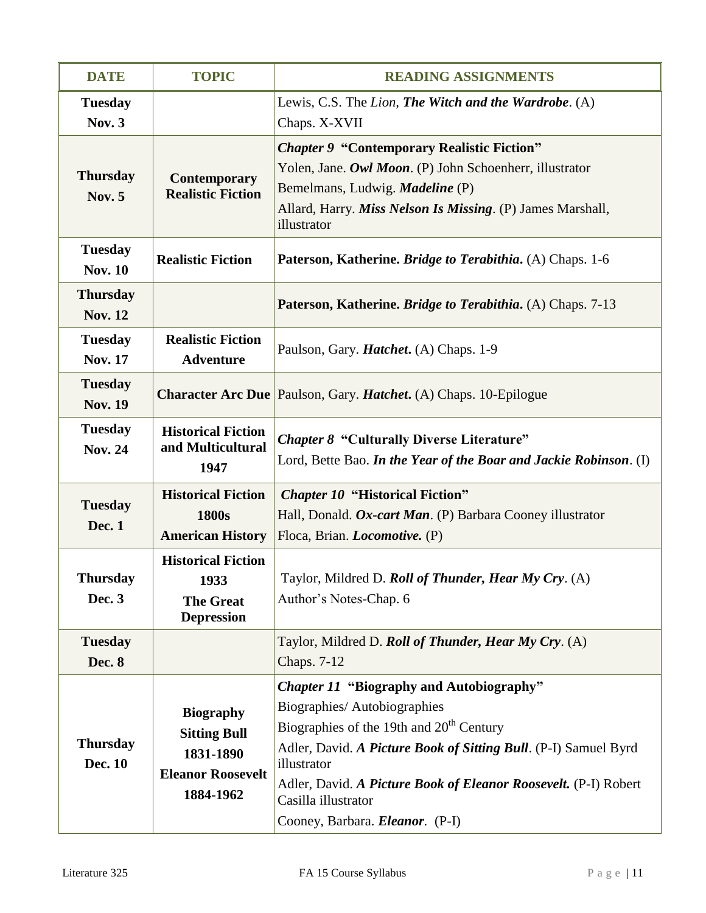| <b>DATE</b>                       | <b>TOPIC</b>                                                                                  | <b>READING ASSIGNMENTS</b>                                                                                                                                                                                                                                                                                                                                   |
|-----------------------------------|-----------------------------------------------------------------------------------------------|--------------------------------------------------------------------------------------------------------------------------------------------------------------------------------------------------------------------------------------------------------------------------------------------------------------------------------------------------------------|
| <b>Tuesday</b><br><b>Nov. 3</b>   |                                                                                               | Lewis, C.S. The Lion, The Witch and the Wardrobe. (A)<br>Chaps. X-XVII                                                                                                                                                                                                                                                                                       |
| <b>Thursday</b><br><b>Nov. 5</b>  | <b>Contemporary</b><br><b>Realistic Fiction</b>                                               | <b>Chapter 9 "Contemporary Realistic Fiction"</b><br>Yolen, Jane. Owl Moon. (P) John Schoenherr, illustrator<br>Bemelmans, Ludwig. <i>Madeline</i> (P)<br>Allard, Harry. <i>Miss Nelson Is Missing</i> . (P) James Marshall,<br>illustrator                                                                                                                  |
| <b>Tuesday</b><br><b>Nov. 10</b>  | <b>Realistic Fiction</b>                                                                      | Paterson, Katherine. Bridge to Terabithia. (A) Chaps. 1-6                                                                                                                                                                                                                                                                                                    |
| <b>Thursday</b><br><b>Nov. 12</b> |                                                                                               | Paterson, Katherine. <i>Bridge to Terabithia</i> . (A) Chaps. 7-13                                                                                                                                                                                                                                                                                           |
| <b>Tuesday</b><br><b>Nov. 17</b>  | <b>Realistic Fiction</b><br><b>Adventure</b>                                                  | Paulson, Gary. <i>Hatchet</i> . (A) Chaps. 1-9                                                                                                                                                                                                                                                                                                               |
| <b>Tuesday</b><br><b>Nov. 19</b>  |                                                                                               | <b>Character Arc Due</b> Paulson, Gary. <i>Hatchet</i> . (A) Chaps. 10-Epilogue                                                                                                                                                                                                                                                                              |
| <b>Tuesday</b><br><b>Nov. 24</b>  | <b>Historical Fiction</b><br>and Multicultural<br>1947                                        | <b>Chapter 8 "Culturally Diverse Literature"</b><br>Lord, Bette Bao. In the Year of the Boar and Jackie Robinson. (I)                                                                                                                                                                                                                                        |
| <b>Tuesday</b><br><b>Dec. 1</b>   | <b>Historical Fiction</b><br>1800s<br><b>American History</b>                                 | <b>Chapter 10 "Historical Fiction"</b><br>Hall, Donald. Ox-cart Man. (P) Barbara Cooney illustrator<br>Floca, Brian. <i>Locomotive</i> . (P)                                                                                                                                                                                                                 |
| <b>Thursday</b><br>Dec. 3         | <b>Historical Fiction</b><br>1933<br><b>The Great</b><br><b>Depression</b>                    | Taylor, Mildred D. Roll of Thunder, Hear My Cry. (A)<br>Author's Notes-Chap. 6                                                                                                                                                                                                                                                                               |
| <b>Tuesday</b><br><b>Dec. 8</b>   |                                                                                               | Taylor, Mildred D. Roll of Thunder, Hear My Cry. (A)<br>Chaps. 7-12                                                                                                                                                                                                                                                                                          |
| <b>Thursday</b><br>Dec. 10        | <b>Biography</b><br><b>Sitting Bull</b><br>1831-1890<br><b>Eleanor Roosevelt</b><br>1884-1962 | <b>Chapter 11 "Biography and Autobiography"</b><br>Biographies/Autobiographies<br>Biographies of the 19th and 20 <sup>th</sup> Century<br>Adler, David. A Picture Book of Sitting Bull. (P-I) Samuel Byrd<br>illustrator<br>Adler, David. A Picture Book of Eleanor Roosevelt. (P-I) Robert<br>Casilla illustrator<br>Cooney, Barbara. <i>Eleanor.</i> (P-I) |